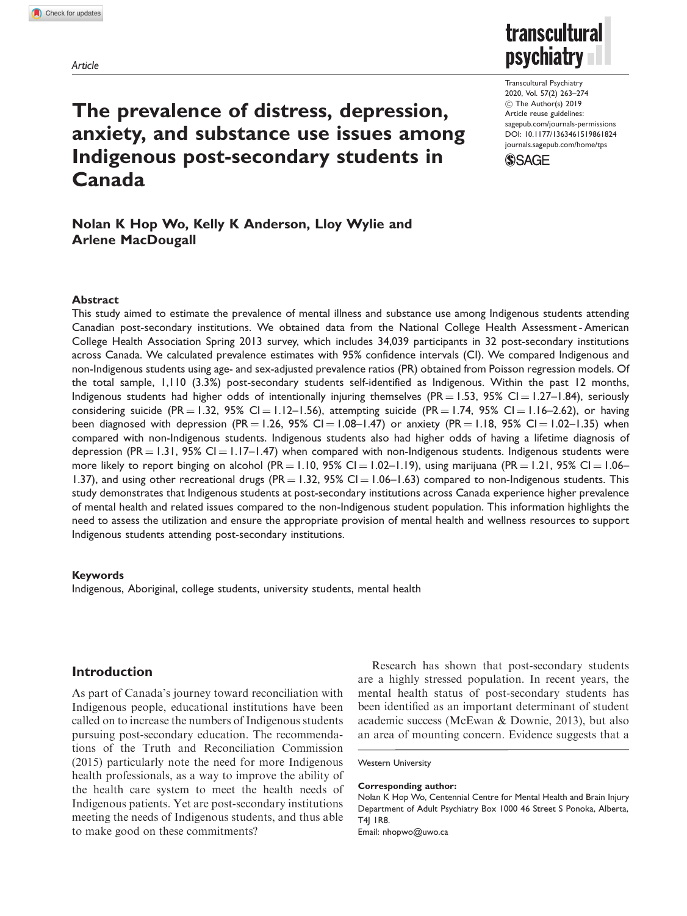Article



Transcultural Psychiatry 2020, Vol. 57(2) 263–274  $©$  The Author(s) 2019 Article reuse guidelines: [sagepub.com/journals-permissions](https://uk.sagepub.com/en-gb/journals-permissions) DOI: [10.1177/1363461519861824](https://doi.org/10.1177/1363461519861824) <journals.sagepub.com/home/tps>



# The prevalence of distress, depression, anxiety, and substance use issues among Indigenous post-secondary students in Canada

# Nolan K Hop Wo, Kelly K Anderson, Lloy Wylie and Arlene MacDougall

#### Abstract

This study aimed to estimate the prevalence of mental illness and substance use among Indigenous students attending Canadian post-secondary institutions. We obtained data from the National College Health Assessment - American College Health Association Spring 2013 survey, which includes 34,039 participants in 32 post-secondary institutions across Canada. We calculated prevalence estimates with 95% confidence intervals (CI). We compared Indigenous and non-Indigenous students using age- and sex-adjusted prevalence ratios (PR) obtained from Poisson regression models. Of the total sample, 1,110 (3.3%) post-secondary students self-identified as Indigenous. Within the past 12 months, Indigenous students had higher odds of intentionally injuring themselves (PR = 1.53, 95% CI = 1.27–1.84), seriously considering suicide (PR = 1.32, 95% CI = 1.12-1.56), attempting suicide (PR = 1.74, 95% CI = 1.16-2.62), or having been diagnosed with depression (PR = 1.26, 95% CI = 1.08–1.47) or anxiety (PR = 1.18, 95% CI = 1.02–1.35) when compared with non-Indigenous students. Indigenous students also had higher odds of having a lifetime diagnosis of depression (PR = 1.31, 95% CI = 1.17–1.47) when compared with non-Indigenous students. Indigenous students were more likely to report binging on alcohol (PR = 1.10, 95% CI = 1.02–1.19), using marijuana (PR = 1.21, 95% CI = 1.06– 1.37), and using other recreational drugs (PR = 1.32, 95% CI = 1.06–1.63) compared to non-Indigenous students. This study demonstrates that Indigenous students at post-secondary institutions across Canada experience higher prevalence of mental health and related issues compared to the non-Indigenous student population. This information highlights the need to assess the utilization and ensure the appropriate provision of mental health and wellness resources to support Indigenous students attending post-secondary institutions.

#### Keywords

Indigenous, Aboriginal, college students, university students, mental health

# Introduction

As part of Canada's journey toward reconciliation with Indigenous people, educational institutions have been called on to increase the numbers of Indigenous students pursuing post-secondary education. The recommendations of the Truth and Reconciliation Commission (2015) particularly note the need for more Indigenous health professionals, as a way to improve the ability of the health care system to meet the health needs of Indigenous patients. Yet are post-secondary institutions meeting the needs of Indigenous students, and thus able to make good on these commitments?

Research has shown that post-secondary students are a highly stressed population. In recent years, the mental health status of post-secondary students has been identified as an important determinant of student academic success (McEwan & Downie, 2013), but also an area of mounting concern. Evidence suggests that a

#### Corresponding author:

Nolan K Hop Wo, Centennial Centre for Mental Health and Brain Injury Department of Adult Psychiatry Box 1000 46 Street S Ponoka, Alberta, T4J 1R8.

Email: nhopwo@uwo.ca

Western University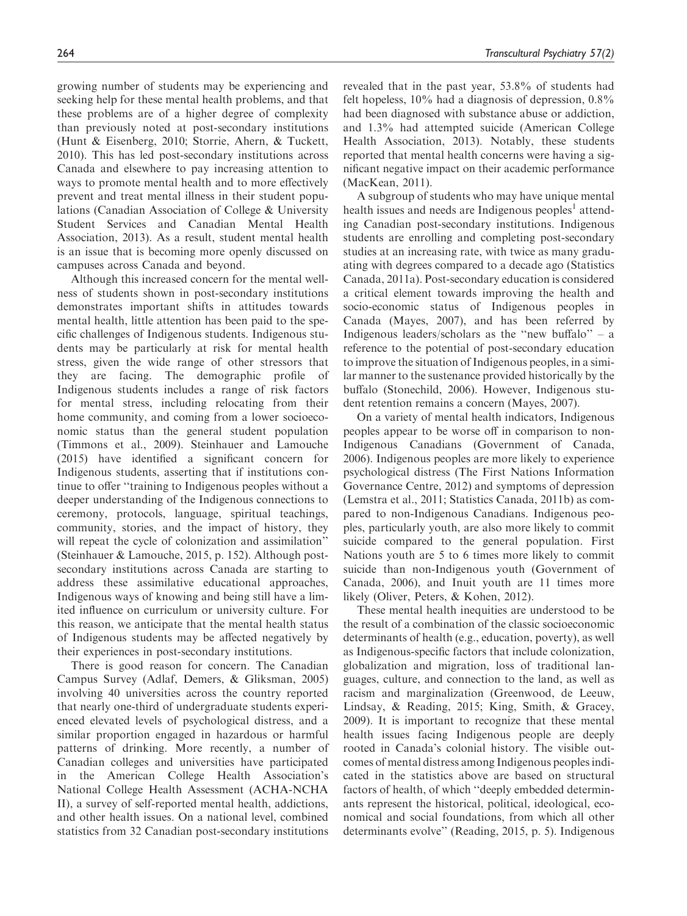growing number of students may be experiencing and seeking help for these mental health problems, and that these problems are of a higher degree of complexity than previously noted at post-secondary institutions (Hunt & Eisenberg, 2010; Storrie, Ahern, & Tuckett, 2010). This has led post-secondary institutions across Canada and elsewhere to pay increasing attention to ways to promote mental health and to more effectively prevent and treat mental illness in their student populations (Canadian Association of College & University Student Services and Canadian Mental Health Association, 2013). As a result, student mental health is an issue that is becoming more openly discussed on campuses across Canada and beyond.

Although this increased concern for the mental wellness of students shown in post-secondary institutions demonstrates important shifts in attitudes towards mental health, little attention has been paid to the specific challenges of Indigenous students. Indigenous students may be particularly at risk for mental health stress, given the wide range of other stressors that they are facing. The demographic profile of Indigenous students includes a range of risk factors for mental stress, including relocating from their home community, and coming from a lower socioeconomic status than the general student population (Timmons et al., 2009). Steinhauer and Lamouche (2015) have identified a significant concern for Indigenous students, asserting that if institutions continue to offer ''training to Indigenous peoples without a deeper understanding of the Indigenous connections to ceremony, protocols, language, spiritual teachings, community, stories, and the impact of history, they will repeat the cycle of colonization and assimilation" (Steinhauer & Lamouche, 2015, p. 152). Although postsecondary institutions across Canada are starting to address these assimilative educational approaches, Indigenous ways of knowing and being still have a limited influence on curriculum or university culture. For this reason, we anticipate that the mental health status of Indigenous students may be affected negatively by their experiences in post-secondary institutions.

There is good reason for concern. The Canadian Campus Survey (Adlaf, Demers, & Gliksman, 2005) involving 40 universities across the country reported that nearly one-third of undergraduate students experienced elevated levels of psychological distress, and a similar proportion engaged in hazardous or harmful patterns of drinking. More recently, a number of Canadian colleges and universities have participated in the American College Health Association's National College Health Assessment (ACHA-NCHA II), a survey of self-reported mental health, addictions, and other health issues. On a national level, combined statistics from 32 Canadian post-secondary institutions revealed that in the past year, 53.8% of students had felt hopeless,  $10\%$  had a diagnosis of depression,  $0.8\%$ had been diagnosed with substance abuse or addiction, and 1.3% had attempted suicide (American College Health Association, 2013). Notably, these students reported that mental health concerns were having a significant negative impact on their academic performance (MacKean, 2011).

A subgroup of students who may have unique mental health issues and needs are Indigenous peoples<sup>1</sup> attending Canadian post-secondary institutions. Indigenous students are enrolling and completing post-secondary studies at an increasing rate, with twice as many graduating with degrees compared to a decade ago (Statistics Canada, 2011a). Post-secondary education is considered a critical element towards improving the health and socio-economic status of Indigenous peoples in Canada (Mayes, 2007), and has been referred by Indigenous leaders/scholars as the "new buffalo" – a reference to the potential of post-secondary education to improve the situation of Indigenous peoples, in a similar manner to the sustenance provided historically by the buffalo (Stonechild, 2006). However, Indigenous student retention remains a concern (Mayes, 2007).

On a variety of mental health indicators, Indigenous peoples appear to be worse off in comparison to non-Indigenous Canadians (Government of Canada, 2006). Indigenous peoples are more likely to experience psychological distress (The First Nations Information Governance Centre, 2012) and symptoms of depression (Lemstra et al., 2011; Statistics Canada, 2011b) as compared to non-Indigenous Canadians. Indigenous peoples, particularly youth, are also more likely to commit suicide compared to the general population. First Nations youth are 5 to 6 times more likely to commit suicide than non-Indigenous youth (Government of Canada, 2006), and Inuit youth are 11 times more likely (Oliver, Peters, & Kohen, 2012).

These mental health inequities are understood to be the result of a combination of the classic socioeconomic determinants of health (e.g., education, poverty), as well as Indigenous-specific factors that include colonization, globalization and migration, loss of traditional languages, culture, and connection to the land, as well as racism and marginalization (Greenwood, de Leeuw, Lindsay, & Reading, 2015; King, Smith, & Gracey, 2009). It is important to recognize that these mental health issues facing Indigenous people are deeply rooted in Canada's colonial history. The visible outcomes of mental distress among Indigenous peoples indicated in the statistics above are based on structural factors of health, of which ''deeply embedded determinants represent the historical, political, ideological, economical and social foundations, from which all other determinants evolve'' (Reading, 2015, p. 5). Indigenous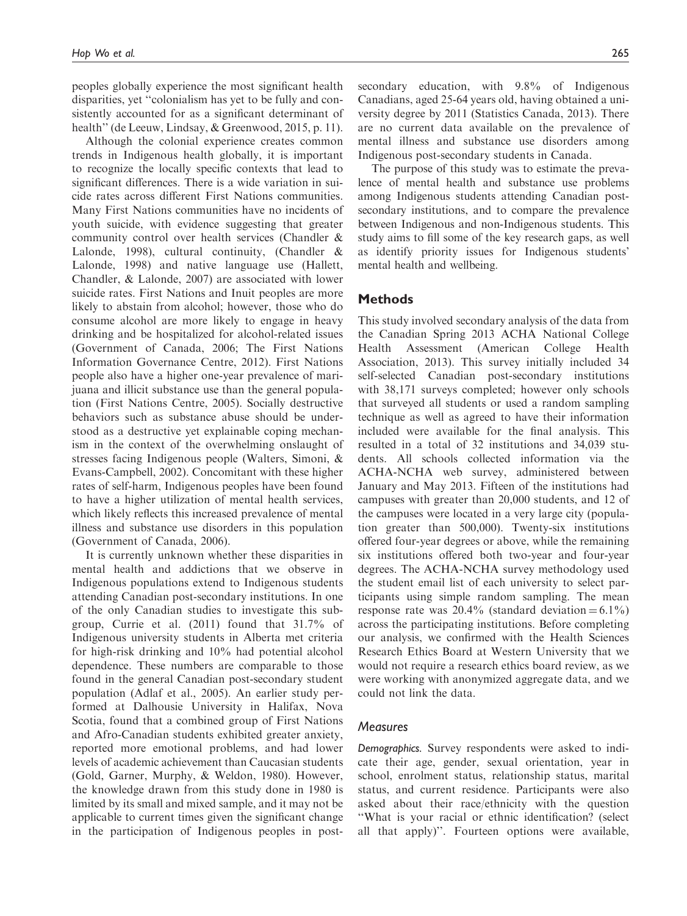peoples globally experience the most significant health disparities, yet ''colonialism has yet to be fully and consistently accounted for as a significant determinant of health'' (de Leeuw, Lindsay, & Greenwood, 2015, p. 11).

Although the colonial experience creates common trends in Indigenous health globally, it is important to recognize the locally specific contexts that lead to significant differences. There is a wide variation in suicide rates across different First Nations communities. Many First Nations communities have no incidents of youth suicide, with evidence suggesting that greater community control over health services (Chandler & Lalonde, 1998), cultural continuity, (Chandler & Lalonde, 1998) and native language use (Hallett, Chandler, & Lalonde, 2007) are associated with lower suicide rates. First Nations and Inuit peoples are more likely to abstain from alcohol; however, those who do consume alcohol are more likely to engage in heavy drinking and be hospitalized for alcohol-related issues (Government of Canada, 2006; The First Nations Information Governance Centre, 2012). First Nations people also have a higher one-year prevalence of marijuana and illicit substance use than the general population (First Nations Centre, 2005). Socially destructive behaviors such as substance abuse should be understood as a destructive yet explainable coping mechanism in the context of the overwhelming onslaught of stresses facing Indigenous people (Walters, Simoni, & Evans-Campbell, 2002). Concomitant with these higher rates of self-harm, Indigenous peoples have been found to have a higher utilization of mental health services, which likely reflects this increased prevalence of mental illness and substance use disorders in this population (Government of Canada, 2006).

It is currently unknown whether these disparities in mental health and addictions that we observe in Indigenous populations extend to Indigenous students attending Canadian post-secondary institutions. In one of the only Canadian studies to investigate this subgroup, Currie et al. (2011) found that 31.7% of Indigenous university students in Alberta met criteria for high-risk drinking and 10% had potential alcohol dependence. These numbers are comparable to those found in the general Canadian post-secondary student population (Adlaf et al., 2005). An earlier study performed at Dalhousie University in Halifax, Nova Scotia, found that a combined group of First Nations and Afro-Canadian students exhibited greater anxiety, reported more emotional problems, and had lower levels of academic achievement than Caucasian students (Gold, Garner, Murphy, & Weldon, 1980). However, the knowledge drawn from this study done in 1980 is limited by its small and mixed sample, and it may not be applicable to current times given the significant change in the participation of Indigenous peoples in postsecondary education, with 9.8% of Indigenous Canadians, aged 25-64 years old, having obtained a university degree by 2011 (Statistics Canada, 2013). There are no current data available on the prevalence of mental illness and substance use disorders among Indigenous post-secondary students in Canada.

The purpose of this study was to estimate the prevalence of mental health and substance use problems among Indigenous students attending Canadian postsecondary institutions, and to compare the prevalence between Indigenous and non-Indigenous students. This study aims to fill some of the key research gaps, as well as identify priority issues for Indigenous students' mental health and wellbeing.

# Methods

This study involved secondary analysis of the data from the Canadian Spring 2013 ACHA National College Health Assessment (American College Health Association, 2013). This survey initially included 34 self-selected Canadian post-secondary institutions with 38,171 surveys completed; however only schools that surveyed all students or used a random sampling technique as well as agreed to have their information included were available for the final analysis. This resulted in a total of 32 institutions and 34,039 students. All schools collected information via the ACHA-NCHA web survey, administered between January and May 2013. Fifteen of the institutions had campuses with greater than 20,000 students, and 12 of the campuses were located in a very large city (population greater than 500,000). Twenty-six institutions offered four-year degrees or above, while the remaining six institutions offered both two-year and four-year degrees. The ACHA-NCHA survey methodology used the student email list of each university to select participants using simple random sampling. The mean response rate was  $20.4\%$  (standard deviation = 6.1%) across the participating institutions. Before completing our analysis, we confirmed with the Health Sciences Research Ethics Board at Western University that we would not require a research ethics board review, as we were working with anonymized aggregate data, and we could not link the data.

# **Measures**

Demographics. Survey respondents were asked to indicate their age, gender, sexual orientation, year in school, enrolment status, relationship status, marital status, and current residence. Participants were also asked about their race/ethnicity with the question ''What is your racial or ethnic identification? (select all that apply)''. Fourteen options were available,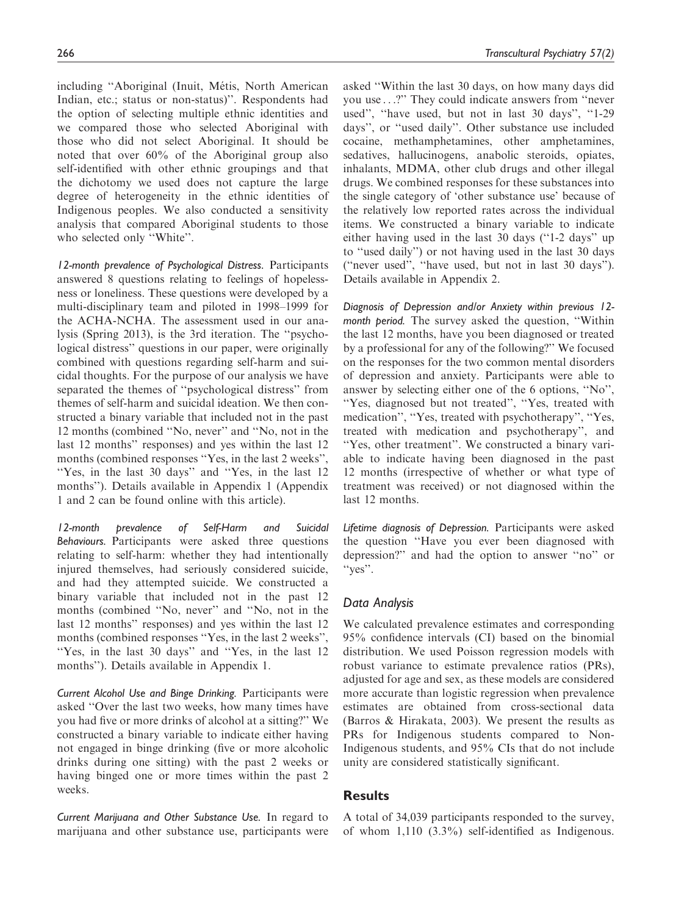including "Aboriginal (Inuit, Métis, North American Indian, etc.; status or non-status)''. Respondents had the option of selecting multiple ethnic identities and we compared those who selected Aboriginal with those who did not select Aboriginal. It should be noted that over 60% of the Aboriginal group also self-identified with other ethnic groupings and that the dichotomy we used does not capture the large degree of heterogeneity in the ethnic identities of Indigenous peoples. We also conducted a sensitivity analysis that compared Aboriginal students to those who selected only ''White''.

12-month prevalence of Psychological Distress. Participants answered 8 questions relating to feelings of hopelessness or loneliness. These questions were developed by a multi-disciplinary team and piloted in 1998–1999 for the ACHA-NCHA. The assessment used in our analysis (Spring 2013), is the 3rd iteration. The ''psychological distress'' questions in our paper, were originally combined with questions regarding self-harm and suicidal thoughts. For the purpose of our analysis we have separated the themes of ''psychological distress'' from themes of self-harm and suicidal ideation. We then constructed a binary variable that included not in the past 12 months (combined ''No, never'' and ''No, not in the last 12 months'' responses) and yes within the last 12 months (combined responses "Yes, in the last 2 weeks", ''Yes, in the last 30 days'' and ''Yes, in the last 12 months''). Details available in Appendix 1 (Appendix 1 and 2 can be found online with this article).

12-month prevalence of Self-Harm and Suicidal Behaviours. Participants were asked three questions relating to self-harm: whether they had intentionally injured themselves, had seriously considered suicide, and had they attempted suicide. We constructed a binary variable that included not in the past 12 months (combined ''No, never'' and ''No, not in the last 12 months'' responses) and yes within the last 12 months (combined responses "Yes, in the last 2 weeks", ''Yes, in the last 30 days'' and ''Yes, in the last 12 months''). Details available in Appendix 1.

Current Alcohol Use and Binge Drinking. Participants were asked ''Over the last two weeks, how many times have you had five or more drinks of alcohol at a sitting?'' We constructed a binary variable to indicate either having not engaged in binge drinking (five or more alcoholic drinks during one sitting) with the past 2 weeks or having binged one or more times within the past 2 weeks.

Current Marijuana and Other Substance Use. In regard to marijuana and other substance use, participants were asked ''Within the last 30 days, on how many days did you use ...?'' They could indicate answers from ''never used", "have used, but not in last 30 days", "1-29 days'', or ''used daily''. Other substance use included cocaine, methamphetamines, other amphetamines, sedatives, hallucinogens, anabolic steroids, opiates, inhalants, MDMA, other club drugs and other illegal drugs. We combined responses for these substances into the single category of 'other substance use' because of the relatively low reported rates across the individual items. We constructed a binary variable to indicate either having used in the last 30 days (''1-2 days'' up to ''used daily'') or not having used in the last 30 days (''never used'', ''have used, but not in last 30 days''). Details available in Appendix 2.

Diagnosis of Depression and/or Anxiety within previous 12 month period. The survey asked the question, ''Within the last 12 months, have you been diagnosed or treated by a professional for any of the following?'' We focused on the responses for the two common mental disorders of depression and anxiety. Participants were able to answer by selecting either one of the 6 options, ''No'', ''Yes, diagnosed but not treated'', ''Yes, treated with medication'', ''Yes, treated with psychotherapy'', ''Yes, treated with medication and psychotherapy'', and "Yes, other treatment". We constructed a binary variable to indicate having been diagnosed in the past 12 months (irrespective of whether or what type of treatment was received) or not diagnosed within the last 12 months.

Lifetime diagnosis of Depression. Participants were asked the question ''Have you ever been diagnosed with depression?'' and had the option to answer ''no'' or ''yes''.

# Data Analysis

We calculated prevalence estimates and corresponding 95% confidence intervals (CI) based on the binomial distribution. We used Poisson regression models with robust variance to estimate prevalence ratios (PRs), adjusted for age and sex, as these models are considered more accurate than logistic regression when prevalence estimates are obtained from cross-sectional data (Barros & Hirakata, 2003). We present the results as PRs for Indigenous students compared to Non-Indigenous students, and 95% CIs that do not include unity are considered statistically significant.

# **Results**

A total of 34,039 participants responded to the survey, of whom 1,110 (3.3%) self-identified as Indigenous.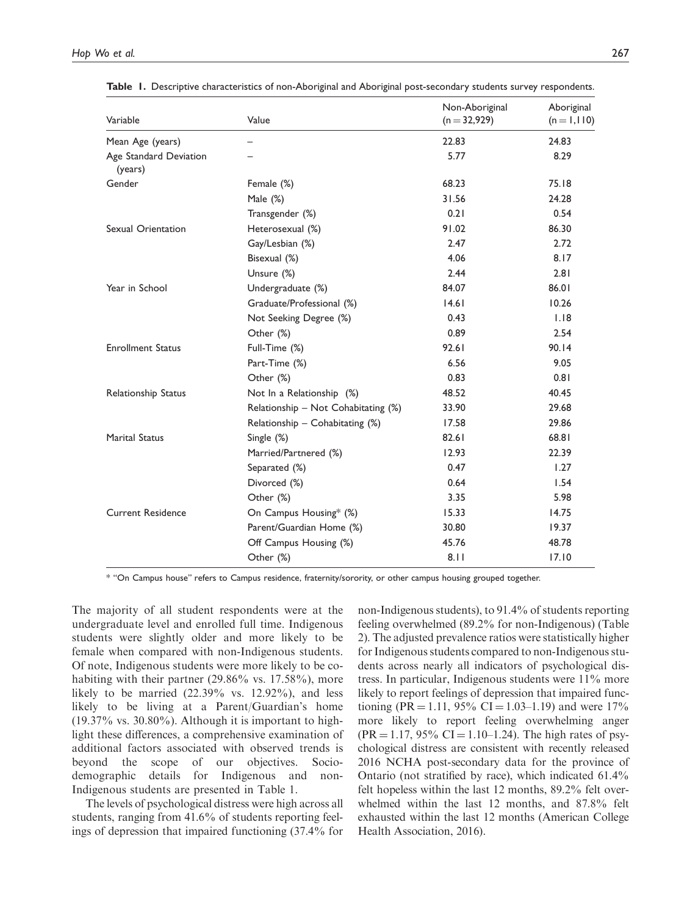| Variable                          | Value                               | Non-Aboriginal<br>$(n = 32,929)$ | Aboriginal<br>$(n = 1, 110)$ |
|-----------------------------------|-------------------------------------|----------------------------------|------------------------------|
| Mean Age (years)                  |                                     | 22.83                            | 24.83                        |
| Age Standard Deviation<br>(years) |                                     | 5.77                             | 8.29                         |
| Gender                            | Female (%)                          | 68.23                            | 75.18                        |
|                                   | Male $(\%)$                         | 31.56                            | 24.28                        |
|                                   | Transgender (%)                     | 0.21                             | 0.54                         |
| Sexual Orientation                | Heterosexual (%)                    | 91.02                            | 86.30                        |
|                                   | Gay/Lesbian (%)                     | 2.47                             | 2.72                         |
|                                   | Bisexual (%)                        | 4.06                             | 8.17                         |
|                                   | Unsure (%)                          | 2.44                             | 2.81                         |
| Year in School                    | Undergraduate (%)                   | 84.07                            | 86.01                        |
|                                   | Graduate/Professional (%)           | 14.61                            | 10.26                        |
|                                   | Not Seeking Degree (%)              | 0.43                             | 1.18                         |
|                                   | Other (%)                           | 0.89                             | 2.54                         |
| <b>Enrollment Status</b>          | Full-Time (%)                       | 92.61                            | 90.14                        |
|                                   | Part-Time (%)                       | 6.56                             | 9.05                         |
|                                   | Other (%)                           | 0.83                             | 0.81                         |
| <b>Relationship Status</b>        | Not In a Relationship (%)           | 48.52                            | 40.45                        |
|                                   | Relationship - Not Cohabitating (%) | 33.90                            | 29.68                        |
|                                   | Relationship - Cohabitating (%)     | 17.58                            | 29.86                        |
| <b>Marital Status</b>             | Single (%)                          | 82.61                            | 68.81                        |
|                                   | Married/Partnered (%)               | 12.93                            | 22.39                        |
|                                   | Separated (%)                       | 0.47                             | 1.27                         |
|                                   | Divorced (%)                        | 0.64                             | 1.54                         |
|                                   | Other (%)                           | 3.35                             | 5.98                         |
| <b>Current Residence</b>          | On Campus Housing* (%)              | 15.33                            | 14.75                        |
|                                   | Parent/Guardian Home (%)            | 30.80                            | 19.37                        |
|                                   | Off Campus Housing (%)              | 45.76                            | 48.78                        |
|                                   | Other (%)                           | 8.11                             | 17.10                        |

Table 1. Descriptive characteristics of non-Aboriginal and Aboriginal post-secondary students survey respondents.

\* ''On Campus house'' refers to Campus residence, fraternity/sorority, or other campus housing grouped together.

The majority of all student respondents were at the undergraduate level and enrolled full time. Indigenous students were slightly older and more likely to be female when compared with non-Indigenous students. Of note, Indigenous students were more likely to be cohabiting with their partner (29.86% vs. 17.58%), more likely to be married  $(22.39\% \text{ vs. } 12.92\%)$ , and less likely to be living at a Parent/Guardian's home  $(19.37\% \text{ vs. } 30.80\%)$ . Although it is important to highlight these differences, a comprehensive examination of additional factors associated with observed trends is beyond the scope of our objectives. Sociodemographic details for Indigenous and non-Indigenous students are presented in Table 1.

The levels of psychological distress were high across all students, ranging from 41.6% of students reporting feelings of depression that impaired functioning (37.4% for non-Indigenous students), to 91.4% of students reporting feeling overwhelmed (89.2% for non-Indigenous) (Table 2). The adjusted prevalence ratios were statistically higher for Indigenous students compared to non-Indigenous students across nearly all indicators of psychological distress. In particular, Indigenous students were 11% more likely to report feelings of depression that impaired functioning (PR = 1.11, 95% CI = 1.03–1.19) and were 17% more likely to report feeling overwhelming anger  $(PR = 1.17, 95\% \text{ CI} = 1.10 - 1.24)$ . The high rates of psychological distress are consistent with recently released 2016 NCHA post-secondary data for the province of Ontario (not stratified by race), which indicated 61.4% felt hopeless within the last 12 months, 89.2% felt overwhelmed within the last 12 months, and 87.8% felt exhausted within the last 12 months (American College Health Association, 2016).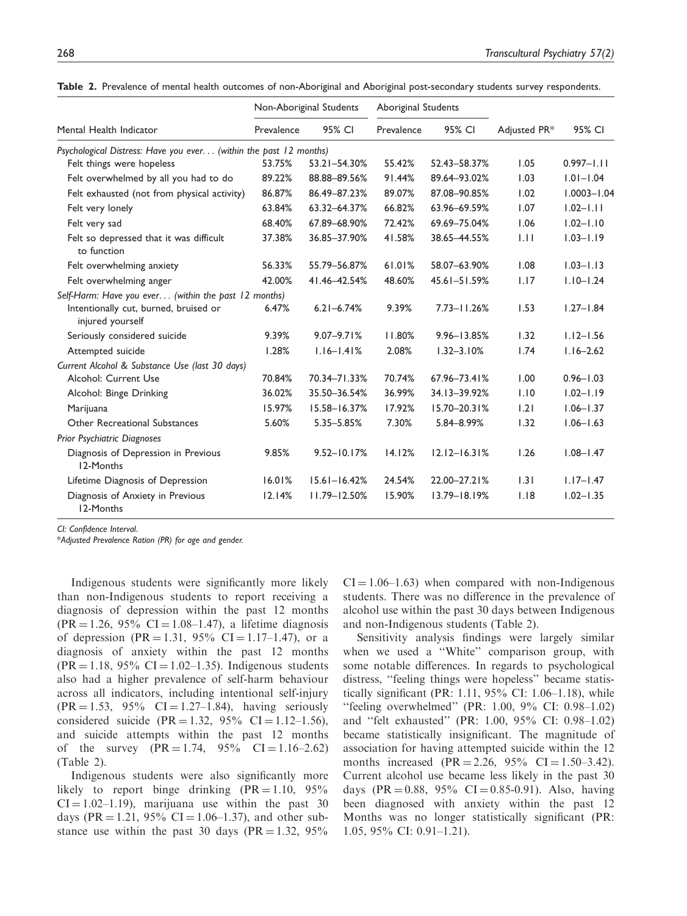|                                                                   | Non-Aboriginal Students |                  | Aboriginal Students |                  |              |                 |
|-------------------------------------------------------------------|-------------------------|------------------|---------------------|------------------|--------------|-----------------|
| Mental Health Indicator                                           | Prevalence              | 95% CI           | Prevalence          | 95% CI           | Adjusted PR* | 95% CI          |
| Psychological Distress: Have you ever (within the past 12 months) |                         |                  |                     |                  |              |                 |
| Felt things were hopeless                                         | 53.75%                  | 53.21-54.30%     | 55.42%              | 52.43-58.37%     | 1.05         | $0.997 - 1.11$  |
| Felt overwhelmed by all you had to do                             | 89.22%                  | 88.88-89.56%     | 91.44%              | 89.64-93.02%     | 1.03         | $1.01 - 1.04$   |
| Felt exhausted (not from physical activity)                       | 86.87%                  | 86.49-87.23%     | 89.07%              | 87.08-90.85%     | 1.02         | $1.0003 - 1.04$ |
| Felt very lonely                                                  | 63.84%                  | 63.32-64.37%     | 66.82%              | 63.96-69.59%     | 1.07         | $1.02 - 1.11$   |
| Felt very sad                                                     | 68.40%                  | 67.89-68.90%     | 72.42%              | 69.69-75.04%     | 1.06         | $1.02 - 1.10$   |
| Felt so depressed that it was difficult<br>to function            | 37.38%                  | 36.85-37.90%     | 41.58%              | 38.65 - 44.55%   | 1.11         | $1.03 - 1.19$   |
| Felt overwhelming anxiety                                         | 56.33%                  | 55.79 - 56.87%   | 61.01%              | 58.07-63.90%     | 1.08         | $1.03 - 1.13$   |
| Felt overwhelming anger                                           | 42.00%                  | 41.46-42.54%     | 48.60%              | 45.61-51.59%     | 1.17         | $1.10 - 1.24$   |
| Self-Harm: Have you ever (within the past 12 months)              |                         |                  |                     |                  |              |                 |
| Intentionally cut, burned, bruised or<br>injured yourself         | 6.47%                   | $6.21 - 6.74%$   | 9.39%               | $7.73 - 11.26%$  | 1.53         | $1.27 - 1.84$   |
| Seriously considered suicide                                      | 9.39%                   | $9.07 - 9.71%$   | 11.80%              | $9.96 - 13.85%$  | 1.32         | $1.12 - 1.56$   |
| Attempted suicide                                                 | 1.28%                   | $1.16 - 1.41%$   | 2.08%               | $1.32 - 3.10%$   | 1.74         | $1.16 - 2.62$   |
| Current Alcohol & Substance Use (last 30 days)                    |                         |                  |                     |                  |              |                 |
| Alcohol: Current Use                                              | 70.84%                  | 70.34-71.33%     | 70.74%              | 67.96-73.41%     | 1.00         | $0.96 - 1.03$   |
| Alcohol: Binge Drinking                                           | 36.02%                  | 35.50-36.54%     | 36.99%              | 34.13-39.92%     | 1.10         | $1.02 - 1.19$   |
| Marijuana                                                         | 15.97%                  | 15.58-16.37%     | 17.92%              | $15.70 - 20.31%$ | 1.21         | $1.06 - 1.37$   |
| Other Recreational Substances                                     | 5.60%                   | 5.35-5.85%       | 7.30%               | 5.84-8.99%       | 1.32         | $1.06 - 1.63$   |
| <b>Prior Psychiatric Diagnoses</b>                                |                         |                  |                     |                  |              |                 |
| Diagnosis of Depression in Previous<br>12-Months                  | 9.85%                   | $9.52 - 10.17%$  | 14.12%              | $12.12 - 16.31%$ | 1.26         | $1.08 - 1.47$   |
| Lifetime Diagnosis of Depression                                  | 16.01%                  | $15.61 - 16.42%$ | 24.54%              | 22.00-27.21%     | 1.31         | $1.17 - 1.47$   |
| Diagnosis of Anxiety in Previous<br>12-Months                     | 12.14%                  | $11.79 - 12.50%$ | 15.90%              | $13.79 - 18.19%$ | 1.18         | $1.02 - 1.35$   |

Table 2. Prevalence of mental health outcomes of non-Aboriginal and Aboriginal post-secondary students survey respondents.

CI: Confidence Interval.

\*Adjusted Prevalence Ration (PR) for age and gender.

Indigenous students were significantly more likely than non-Indigenous students to report receiving a diagnosis of depression within the past 12 months  $(PR = 1.26, 95\% \text{ CI} = 1.08 - 1.47)$ , a lifetime diagnosis of depression (PR = 1.31, 95% CI = 1.17–1.47), or a diagnosis of anxiety within the past 12 months  $(PR = 1.18, 95\% \text{ CI} = 1.02 - 1.35)$ . Indigenous students also had a higher prevalence of self-harm behaviour across all indicators, including intentional self-injury  $(PR = 1.53, 95\% \text{ CI} = 1.27 - 1.84)$ , having seriously considered suicide (PR = 1.32, 95% CI = 1.12–1.56), and suicide attempts within the past 12 months of the survey  $(PR = 1.74, 95\% \text{ CI} = 1.16-2.62)$ (Table 2).

Indigenous students were also significantly more likely to report binge drinking  $(PR = 1.10, 95\%$  $CI = 1.02-1.19$ , marijuana use within the past 30 days (PR = 1.21, 95% CI = 1.06–1.37), and other substance use within the past 30 days (PR = 1.32, 95%)

 $CI = 1.06-1.63$ ) when compared with non-Indigenous students. There was no difference in the prevalence of alcohol use within the past 30 days between Indigenous and non-Indigenous students (Table 2).

Sensitivity analysis findings were largely similar when we used a ''White'' comparison group, with some notable differences. In regards to psychological distress, ''feeling things were hopeless'' became statistically significant (PR: 1.11, 95% CI: 1.06–1.18), while ''feeling overwhelmed'' (PR: 1.00, 9% CI: 0.98–1.02) and ''felt exhausted'' (PR: 1.00, 95% CI: 0.98–1.02) became statistically insignificant. The magnitude of association for having attempted suicide within the 12 months increased  $(PR = 2.26, 95\% \text{ CI} = 1.50-3.42).$ Current alcohol use became less likely in the past 30 days (PR = 0.88, 95% CI = 0.85-0.91). Also, having been diagnosed with anxiety within the past 12 Months was no longer statistically significant (PR: 1.05, 95% CI: 0.91–1.21).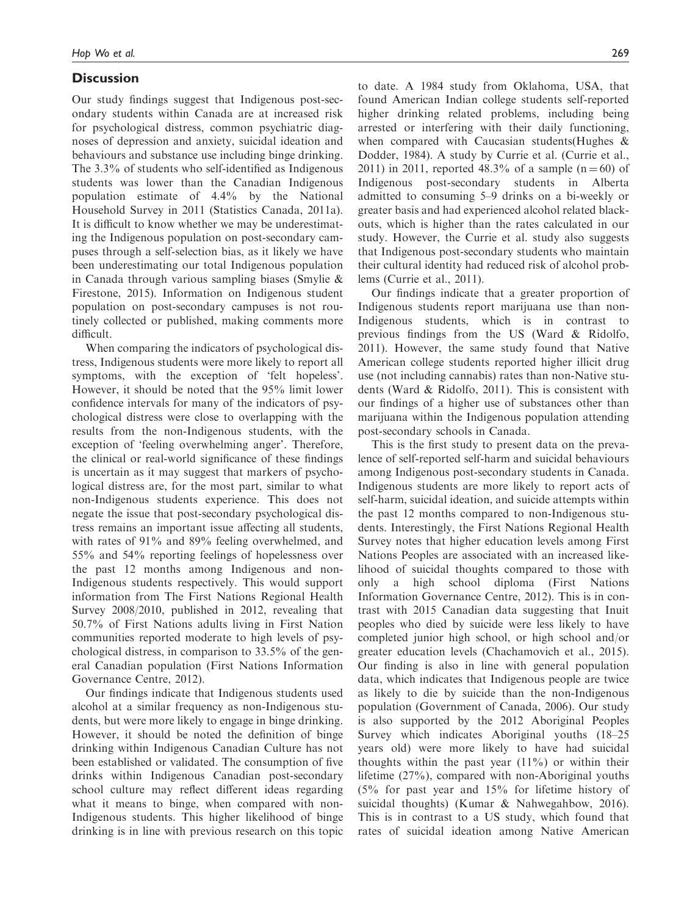# **Discussion**

Our study findings suggest that Indigenous post-secondary students within Canada are at increased risk for psychological distress, common psychiatric diagnoses of depression and anxiety, suicidal ideation and behaviours and substance use including binge drinking. The 3.3% of students who self-identified as Indigenous students was lower than the Canadian Indigenous population estimate of 4.4% by the National Household Survey in 2011 (Statistics Canada, 2011a). It is difficult to know whether we may be underestimating the Indigenous population on post-secondary campuses through a self-selection bias, as it likely we have been underestimating our total Indigenous population in Canada through various sampling biases (Smylie & Firestone, 2015). Information on Indigenous student population on post-secondary campuses is not routinely collected or published, making comments more difficult.

When comparing the indicators of psychological distress, Indigenous students were more likely to report all symptoms, with the exception of 'felt hopeless'. However, it should be noted that the 95% limit lower confidence intervals for many of the indicators of psychological distress were close to overlapping with the results from the non-Indigenous students, with the exception of 'feeling overwhelming anger'. Therefore, the clinical or real-world significance of these findings is uncertain as it may suggest that markers of psychological distress are, for the most part, similar to what non-Indigenous students experience. This does not negate the issue that post-secondary psychological distress remains an important issue affecting all students, with rates of 91% and 89% feeling overwhelmed, and 55% and 54% reporting feelings of hopelessness over the past 12 months among Indigenous and non-Indigenous students respectively. This would support information from The First Nations Regional Health Survey 2008/2010, published in 2012, revealing that 50.7% of First Nations adults living in First Nation communities reported moderate to high levels of psychological distress, in comparison to 33.5% of the general Canadian population (First Nations Information Governance Centre, 2012).

Our findings indicate that Indigenous students used alcohol at a similar frequency as non-Indigenous students, but were more likely to engage in binge drinking. However, it should be noted the definition of binge drinking within Indigenous Canadian Culture has not been established or validated. The consumption of five drinks within Indigenous Canadian post-secondary school culture may reflect different ideas regarding what it means to binge, when compared with non-Indigenous students. This higher likelihood of binge drinking is in line with previous research on this topic to date. A 1984 study from Oklahoma, USA, that found American Indian college students self-reported higher drinking related problems, including being arrested or interfering with their daily functioning, when compared with Caucasian students(Hughes & Dodder, 1984). A study by Currie et al. (Currie et al., 2011) in 2011, reported 48.3% of a sample  $(n = 60)$  of Indigenous post-secondary students in Alberta admitted to consuming 5–9 drinks on a bi-weekly or greater basis and had experienced alcohol related blackouts, which is higher than the rates calculated in our study. However, the Currie et al. study also suggests that Indigenous post-secondary students who maintain their cultural identity had reduced risk of alcohol problems (Currie et al., 2011).

Our findings indicate that a greater proportion of Indigenous students report marijuana use than non-Indigenous students, which is in contrast to previous findings from the US (Ward & Ridolfo, 2011). However, the same study found that Native American college students reported higher illicit drug use (not including cannabis) rates than non-Native students (Ward & Ridolfo, 2011). This is consistent with our findings of a higher use of substances other than marijuana within the Indigenous population attending post-secondary schools in Canada.

This is the first study to present data on the prevalence of self-reported self-harm and suicidal behaviours among Indigenous post-secondary students in Canada. Indigenous students are more likely to report acts of self-harm, suicidal ideation, and suicide attempts within the past 12 months compared to non-Indigenous students. Interestingly, the First Nations Regional Health Survey notes that higher education levels among First Nations Peoples are associated with an increased likelihood of suicidal thoughts compared to those with only a high school diploma (First Nations Information Governance Centre, 2012). This is in contrast with 2015 Canadian data suggesting that Inuit peoples who died by suicide were less likely to have completed junior high school, or high school and/or greater education levels (Chachamovich et al., 2015). Our finding is also in line with general population data, which indicates that Indigenous people are twice as likely to die by suicide than the non-Indigenous population (Government of Canada, 2006). Our study is also supported by the 2012 Aboriginal Peoples Survey which indicates Aboriginal youths (18–25 years old) were more likely to have had suicidal thoughts within the past year  $(11\%)$  or within their lifetime (27%), compared with non-Aboriginal youths (5% for past year and 15% for lifetime history of suicidal thoughts) (Kumar & Nahwegahbow, 2016). This is in contrast to a US study, which found that rates of suicidal ideation among Native American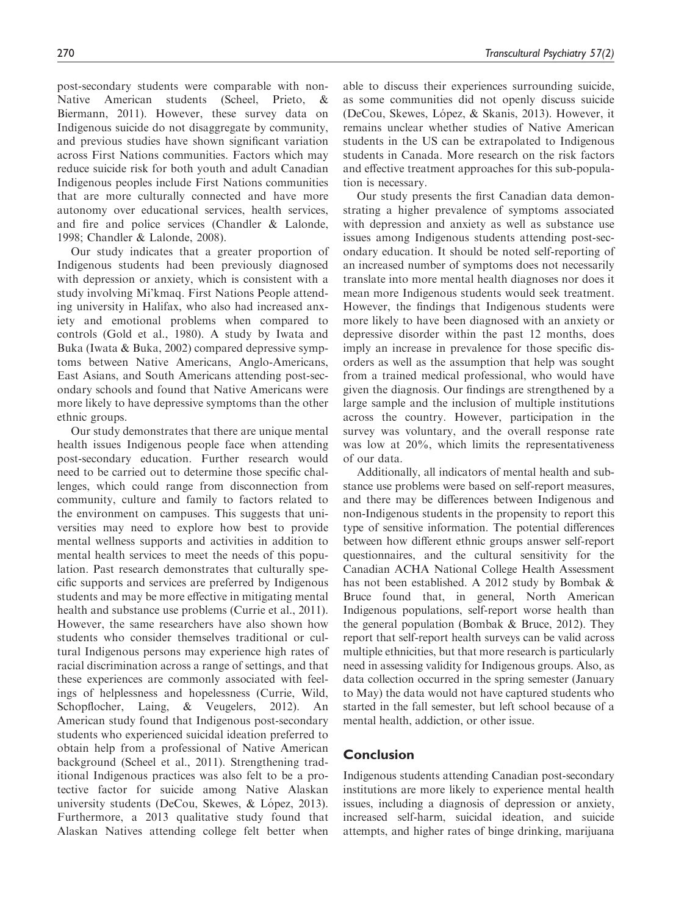post-secondary students were comparable with non-Native American students (Scheel, Prieto, Biermann, 2011). However, these survey data on Indigenous suicide do not disaggregate by community, and previous studies have shown significant variation across First Nations communities. Factors which may reduce suicide risk for both youth and adult Canadian Indigenous peoples include First Nations communities that are more culturally connected and have more autonomy over educational services, health services, and fire and police services (Chandler & Lalonde, 1998; Chandler & Lalonde, 2008).

Our study indicates that a greater proportion of Indigenous students had been previously diagnosed with depression or anxiety, which is consistent with a study involving Mi'kmaq. First Nations People attending university in Halifax, who also had increased anxiety and emotional problems when compared to controls (Gold et al., 1980). A study by Iwata and Buka (Iwata & Buka, 2002) compared depressive symptoms between Native Americans, Anglo-Americans, East Asians, and South Americans attending post-secondary schools and found that Native Americans were more likely to have depressive symptoms than the other ethnic groups.

Our study demonstrates that there are unique mental health issues Indigenous people face when attending post-secondary education. Further research would need to be carried out to determine those specific challenges, which could range from disconnection from community, culture and family to factors related to the environment on campuses. This suggests that universities may need to explore how best to provide mental wellness supports and activities in addition to mental health services to meet the needs of this population. Past research demonstrates that culturally specific supports and services are preferred by Indigenous students and may be more effective in mitigating mental health and substance use problems (Currie et al., 2011). However, the same researchers have also shown how students who consider themselves traditional or cultural Indigenous persons may experience high rates of racial discrimination across a range of settings, and that these experiences are commonly associated with feelings of helplessness and hopelessness (Currie, Wild, Schopflocher, Laing, & Veugelers, 2012). An American study found that Indigenous post-secondary students who experienced suicidal ideation preferred to obtain help from a professional of Native American background (Scheel et al., 2011). Strengthening traditional Indigenous practices was also felt to be a protective factor for suicide among Native Alaskan university students (DeCou, Skewes, & López, 2013). Furthermore, a 2013 qualitative study found that Alaskan Natives attending college felt better when

able to discuss their experiences surrounding suicide, as some communities did not openly discuss suicide (DeCou, Skewes, López, & Skanis, 2013). However, it remains unclear whether studies of Native American students in the US can be extrapolated to Indigenous students in Canada. More research on the risk factors and effective treatment approaches for this sub-population is necessary.

Our study presents the first Canadian data demonstrating a higher prevalence of symptoms associated with depression and anxiety as well as substance use issues among Indigenous students attending post-secondary education. It should be noted self-reporting of an increased number of symptoms does not necessarily translate into more mental health diagnoses nor does it mean more Indigenous students would seek treatment. However, the findings that Indigenous students were more likely to have been diagnosed with an anxiety or depressive disorder within the past 12 months, does imply an increase in prevalence for those specific disorders as well as the assumption that help was sought from a trained medical professional, who would have given the diagnosis. Our findings are strengthened by a large sample and the inclusion of multiple institutions across the country. However, participation in the survey was voluntary, and the overall response rate was low at 20%, which limits the representativeness of our data.

Additionally, all indicators of mental health and substance use problems were based on self-report measures, and there may be differences between Indigenous and non-Indigenous students in the propensity to report this type of sensitive information. The potential differences between how different ethnic groups answer self-report questionnaires, and the cultural sensitivity for the Canadian ACHA National College Health Assessment has not been established. A 2012 study by Bombak & Bruce found that, in general, North American Indigenous populations, self-report worse health than the general population (Bombak & Bruce, 2012). They report that self-report health surveys can be valid across multiple ethnicities, but that more research is particularly need in assessing validity for Indigenous groups. Also, as data collection occurred in the spring semester (January to May) the data would not have captured students who started in the fall semester, but left school because of a mental health, addiction, or other issue.

# Conclusion

Indigenous students attending Canadian post-secondary institutions are more likely to experience mental health issues, including a diagnosis of depression or anxiety, increased self-harm, suicidal ideation, and suicide attempts, and higher rates of binge drinking, marijuana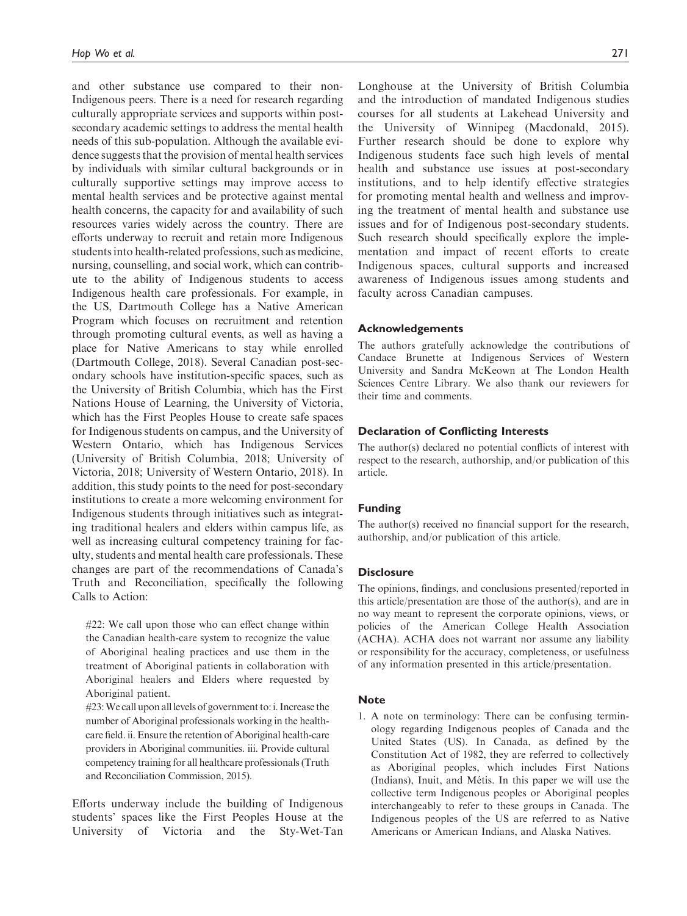and other substance use compared to their non-Indigenous peers. There is a need for research regarding culturally appropriate services and supports within postsecondary academic settings to address the mental health needs of this sub-population. Although the available evidence suggests that the provision of mental health services by individuals with similar cultural backgrounds or in culturally supportive settings may improve access to mental health services and be protective against mental health concerns, the capacity for and availability of such resources varies widely across the country. There are efforts underway to recruit and retain more Indigenous students into health-related professions, such as medicine, nursing, counselling, and social work, which can contribute to the ability of Indigenous students to access Indigenous health care professionals. For example, in the US, Dartmouth College has a Native American Program which focuses on recruitment and retention through promoting cultural events, as well as having a place for Native Americans to stay while enrolled (Dartmouth College, 2018). Several Canadian post-secondary schools have institution-specific spaces, such as the University of British Columbia, which has the First Nations House of Learning, the University of Victoria, which has the First Peoples House to create safe spaces for Indigenous students on campus, and the University of Western Ontario, which has Indigenous Services (University of British Columbia, 2018; University of Victoria, 2018; University of Western Ontario, 2018). In addition, this study points to the need for post-secondary institutions to create a more welcoming environment for Indigenous students through initiatives such as integrating traditional healers and elders within campus life, as well as increasing cultural competency training for faculty, students and mental health care professionals. These changes are part of the recommendations of Canada's Truth and Reconciliation, specifically the following Calls to Action:

#22: We call upon those who can effect change within the Canadian health-care system to recognize the value of Aboriginal healing practices and use them in the treatment of Aboriginal patients in collaboration with Aboriginal healers and Elders where requested by Aboriginal patient.

#23:We call upon all levels of government to: i. Increase the number of Aboriginal professionals working in the healthcare field. ii. Ensure the retention of Aboriginal health-care providers in Aboriginal communities. iii. Provide cultural competency training for all healthcare professionals (Truth and Reconciliation Commission, 2015).

Efforts underway include the building of Indigenous students' spaces like the First Peoples House at the University of Victoria and the Sty-Wet-Tan Longhouse at the University of British Columbia and the introduction of mandated Indigenous studies courses for all students at Lakehead University and the University of Winnipeg (Macdonald, 2015). Further research should be done to explore why Indigenous students face such high levels of mental health and substance use issues at post-secondary institutions, and to help identify effective strategies for promoting mental health and wellness and improving the treatment of mental health and substance use issues and for of Indigenous post-secondary students. Such research should specifically explore the implementation and impact of recent efforts to create Indigenous spaces, cultural supports and increased awareness of Indigenous issues among students and faculty across Canadian campuses.

#### Acknowledgements

The authors gratefully acknowledge the contributions of Candace Brunette at Indigenous Services of Western University and Sandra McKeown at The London Health Sciences Centre Library. We also thank our reviewers for their time and comments.

### Declaration of Conflicting Interests

The author(s) declared no potential conflicts of interest with respect to the research, authorship, and/or publication of this article.

#### Funding

The author(s) received no financial support for the research, authorship, and/or publication of this article.

#### **Disclosure**

The opinions, findings, and conclusions presented/reported in this article/presentation are those of the author(s), and are in no way meant to represent the corporate opinions, views, or policies of the American College Health Association (ACHA). ACHA does not warrant nor assume any liability or responsibility for the accuracy, completeness, or usefulness of any information presented in this article/presentation.

#### **Note**

1. A note on terminology: There can be confusing terminology regarding Indigenous peoples of Canada and the United States (US). In Canada, as defined by the Constitution Act of 1982, they are referred to collectively as Aboriginal peoples, which includes First Nations (Indians), Inuit, and Métis. In this paper we will use the collective term Indigenous peoples or Aboriginal peoples interchangeably to refer to these groups in Canada. The Indigenous peoples of the US are referred to as Native Americans or American Indians, and Alaska Natives.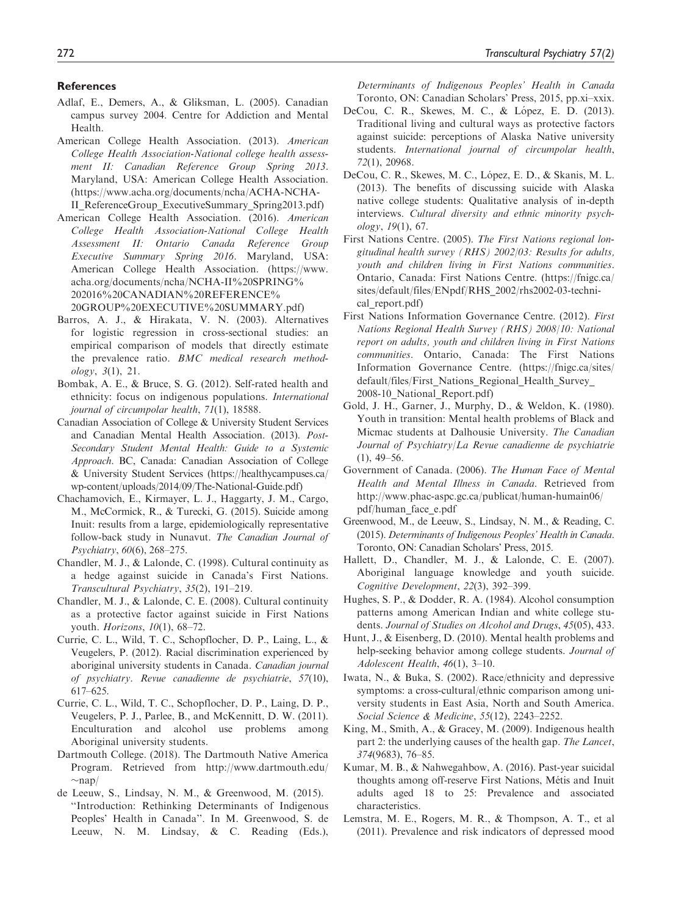### **References**

- Adlaf, E., Demers, A., & Gliksman, L. (2005). Canadian campus survey 2004. Centre for Addiction and Mental Health.
- American College Health Association. (2013). American College Health Association-National college health assessment II: Canadian Reference Group Spring 2013. Maryland, USA: American College Health Association. ([https://www.acha.org/documents/ncha/ACHA-NCHA-](https://www.acha.org/documents/ncha/ACHA-NCHA-II_ReferenceGroup_ExecutiveSummary_Spring2013.pdf)[II\\_ReferenceGroup\\_ExecutiveSummary\\_Spring2013.pdf](https://www.acha.org/documents/ncha/ACHA-NCHA-II_ReferenceGroup_ExecutiveSummary_Spring2013.pdf))
- American College Health Association. (2016). American College Health Association-National College Health Assessment II: Ontario Canada Reference Group Executive Summary Spring 2016. Maryland, USA: American College Health Association. [\(https://www.](https://www.acha.org/documents/ncha/NCHA-II%20SPRING%202016%20CANADIAN%20REFERENCE%20GROUP%20EXECUTIVE%20SUMMARY.pdf) [acha.org/documents/ncha/NCHA-II%20SPRING%](https://www.acha.org/documents/ncha/NCHA-II%20SPRING%202016%20CANADIAN%20REFERENCE%20GROUP%20EXECUTIVE%20SUMMARY.pdf) [202016%20CANADIAN%20REFERENCE%](https://www.acha.org/documents/ncha/NCHA-II%20SPRING%202016%20CANADIAN%20REFERENCE%20GROUP%20EXECUTIVE%20SUMMARY.pdf) [20GROUP%20EXECUTIVE%20SUMMARY.pdf\)](https://www.acha.org/documents/ncha/NCHA-II%20SPRING%202016%20CANADIAN%20REFERENCE%20GROUP%20EXECUTIVE%20SUMMARY.pdf)
- Barros, A. J., & Hirakata, V. N. (2003). Alternatives for logistic regression in cross-sectional studies: an empirical comparison of models that directly estimate the prevalence ratio. BMC medical research methodology, 3(1), 21.
- Bombak, A. E., & Bruce, S. G. (2012). Self-rated health and ethnicity: focus on indigenous populations. International journal of circumpolar health, 71(1), 18588.
- Canadian Association of College & University Student Services and Canadian Mental Health Association. (2013). Post-Secondary Student Mental Health: Guide to a Systemic Approach. BC, Canada: Canadian Association of College & University Student Services ([https://healthycampuses.ca/](https://healthycampuses.ca/wp-content/uploads/2014/09/The-National-Guide.pdf) [wp-content/uploads/2014/09/The-National-Guide.pdf\)](https://healthycampuses.ca/wp-content/uploads/2014/09/The-National-Guide.pdf)
- Chachamovich, E., Kirmayer, L. J., Haggarty, J. M., Cargo, M., McCormick, R., & Turecki, G. (2015). Suicide among Inuit: results from a large, epidemiologically representative follow-back study in Nunavut. The Canadian Journal of Psychiatry, 60(6), 268–275.
- Chandler, M. J., & Lalonde, C. (1998). Cultural continuity as a hedge against suicide in Canada's First Nations. Transcultural Psychiatry, 35(2), 191–219.
- Chandler, M. J., & Lalonde, C. E. (2008). Cultural continuity as a protective factor against suicide in First Nations youth. Horizons, 10(1), 68–72.
- Currie, C. L., Wild, T. C., Schopflocher, D. P., Laing, L., & Veugelers, P. (2012). Racial discrimination experienced by aboriginal university students in Canada. Canadian journal of psychiatry. Revue canadienne de psychiatrie, 57(10), 617–625.
- Currie, C. L., Wild, T. C., Schopflocher, D. P., Laing, D. P., Veugelers, P. J., Parlee, B., and McKennitt, D. W. (2011). Enculturation and alcohol use problems among Aboriginal university students.
- Dartmouth College. (2018). The Dartmouth Native America Program. Retrieved from [http://www.dartmouth.edu/](http://www.dartmouth.edu/nap/)  $\sim$ [nap/](http://www.dartmouth.edu/nap/)
- de Leeuw, S., Lindsay, N. M., & Greenwood, M. (2015). ''Introduction: Rethinking Determinants of Indigenous Peoples' Health in Canada''. In M. Greenwood, S. de Leeuw, N. M. Lindsay, & C. Reading (Eds.),

Determinants of Indigenous Peoples' Health in Canada Toronto, ON: Canadian Scholars' Press, 2015, pp.xi–xxix.

- DeCou, C. R., Skewes, M. C., & López, E. D. (2013). Traditional living and cultural ways as protective factors against suicide: perceptions of Alaska Native university students. International journal of circumpolar health, 72(1), 20968.
- DeCou, C. R., Skewes, M. C., López, E. D., & Skanis, M. L. (2013). The benefits of discussing suicide with Alaska native college students: Qualitative analysis of in-depth interviews. Cultural diversity and ethnic minority psychology, 19(1), 67.
- First Nations Centre. (2005). The First Nations regional longitudinal health survey (RHS) 2002/03: Results for adults, youth and children living in First Nations communities. Ontario, Canada: First Nations Centre. ([https://fnigc.ca/](https://fnigc.ca/sites/default/files/ENpdf/RHS_2002/rhs2002-03-technical_report.pdf) [sites/default/files/ENpdf/RHS\\_2002/rhs2002-03-techni](https://fnigc.ca/sites/default/files/ENpdf/RHS_2002/rhs2002-03-technical_report.pdf)cal report.pdf)
- First Nations Information Governance Centre. (2012). First Nations Regional Health Survey (RHS) 2008/10: National report on adults, youth and children living in First Nations communities. Ontario, Canada: The First Nations Information Governance Centre. [\(https://fnigc.ca/sites/](https://fnigc.ca/sites/default/files/First_Nations_Regional_Health_Survey_2008-10_National_Report.pdf) [default/files/First\\_Nations\\_Regional\\_Health\\_Survey\\_](https://fnigc.ca/sites/default/files/First_Nations_Regional_Health_Survey_2008-10_National_Report.pdf) [2008-10\\_National\\_Report.pdf\)](https://fnigc.ca/sites/default/files/First_Nations_Regional_Health_Survey_2008-10_National_Report.pdf)
- Gold, J. H., Garner, J., Murphy, D., & Weldon, K. (1980). Youth in transition: Mental health problems of Black and Micmac students at Dalhousie University. The Canadian Journal of Psychiatry/La Revue canadienne de psychiatrie  $(1), 49 - 56.$
- Government of Canada. (2006). The Human Face of Mental Health and Mental Illness in Canada. Retrieved from [http://www.phac-aspc.gc.ca/publicat/human-humain06/](http://www.phac-aspc.gc.ca/publicat/human-humain06/pdf/human_face_e.pdf) [pdf/human\\_face\\_e.pdf](http://www.phac-aspc.gc.ca/publicat/human-humain06/pdf/human_face_e.pdf)
- Greenwood, M., de Leeuw, S., Lindsay, N. M., & Reading, C. (2015). Determinants of Indigenous Peoples' Health in Canada. Toronto, ON: Canadian Scholars' Press, 2015.
- Hallett, D., Chandler, M. J., & Lalonde, C. E. (2007). Aboriginal language knowledge and youth suicide. Cognitive Development, 22(3), 392–399.
- Hughes, S. P., & Dodder, R. A. (1984). Alcohol consumption patterns among American Indian and white college students. Journal of Studies on Alcohol and Drugs, 45(05), 433.
- Hunt, J., & Eisenberg, D. (2010). Mental health problems and help-seeking behavior among college students. Journal of Adolescent Health, 46(1), 3–10.
- Iwata, N., & Buka, S. (2002). Race/ethnicity and depressive symptoms: a cross-cultural/ethnic comparison among university students in East Asia, North and South America. Social Science & Medicine, 55(12), 2243–2252.
- King, M., Smith, A., & Gracey, M. (2009). Indigenous health part 2: the underlying causes of the health gap. The Lancet, 374(9683), 76–85.
- Kumar, M. B., & Nahwegahbow, A. (2016). Past-year suicidal thoughts among off-reserve First Nations, Métis and Inuit adults aged 18 to 25: Prevalence and associated characteristics.
- Lemstra, M. E., Rogers, M. R., & Thompson, A. T., et al (2011). Prevalence and risk indicators of depressed mood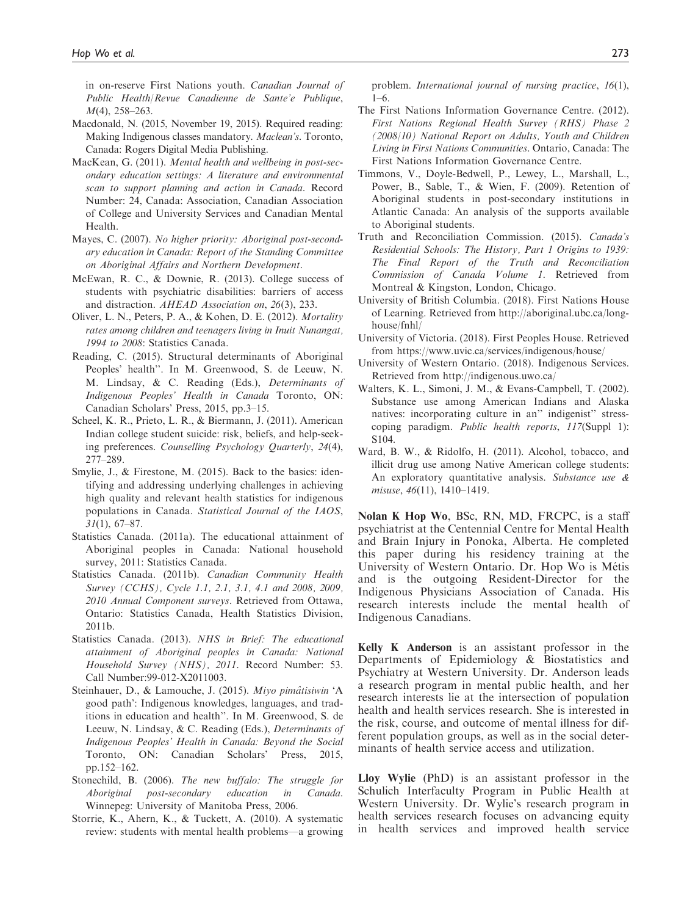in on-reserve First Nations youth. Canadian Journal of Public Health/Revue Canadienne de Sante'e Publique, M(4), 258–263.

- Macdonald, N. (2015, November 19, 2015). Required reading: Making Indigenous classes mandatory. Maclean's. Toronto, Canada: Rogers Digital Media Publishing.
- MacKean, G. (2011). Mental health and wellbeing in post-secondary education settings: A literature and environmental scan to support planning and action in Canada. Record Number: 24, Canada: Association, Canadian Association of College and University Services and Canadian Mental Health.
- Mayes, C. (2007). No higher priority: Aboriginal post-secondary education in Canada: Report of the Standing Committee on Aboriginal Affairs and Northern Development.
- McEwan, R. C., & Downie, R. (2013). College success of students with psychiatric disabilities: barriers of access and distraction. AHEAD Association on, 26(3), 233.
- Oliver, L. N., Peters, P. A., & Kohen, D. E. (2012). Mortality rates among children and teenagers living in Inuit Nunangat, 1994 to 2008: Statistics Canada.
- Reading, C. (2015). Structural determinants of Aboriginal Peoples' health''. In M. Greenwood, S. de Leeuw, N. M. Lindsay, & C. Reading (Eds.), Determinants of Indigenous Peoples' Health in Canada Toronto, ON: Canadian Scholars' Press, 2015, pp.3–15.
- Scheel, K. R., Prieto, L. R., & Biermann, J. (2011). American Indian college student suicide: risk, beliefs, and help-seeking preferences. Counselling Psychology Quarterly, 24(4), 277–289.
- Smylie, J., & Firestone, M. (2015). Back to the basics: identifying and addressing underlying challenges in achieving high quality and relevant health statistics for indigenous populations in Canada. Statistical Journal of the IAOS,  $31(1), 67-87.$
- Statistics Canada. (2011a). The educational attainment of Aboriginal peoples in Canada: National household survey, 2011: Statistics Canada.
- Statistics Canada. (2011b). Canadian Community Health Survey (CCHS), Cycle 1.1, 2.1, 3.1, 4.1 and 2008, 2009, 2010 Annual Component surveys. Retrieved from Ottawa, Ontario: Statistics Canada, Health Statistics Division, 2011b.
- Statistics Canada. (2013). NHS in Brief: The educational attainment of Aboriginal peoples in Canada: National Household Survey (NHS), 2011. Record Number: 53. Call Number:99-012-X2011003.
- Steinhauer, D., & Lamouche, J. (2015). Miyo pimâtisiwin 'A good path': Indigenous knowledges, languages, and traditions in education and health''. In M. Greenwood, S. de Leeuw, N. Lindsay, & C. Reading (Eds.), Determinants of Indigenous Peoples' Health in Canada: Beyond the Social Toronto, ON: Canadian Scholars' Press, 2015, pp.152–162.
- Stonechild, B. (2006). The new buffalo: The struggle for Aboriginal post-secondary education in Canada. Winnepeg: University of Manitoba Press, 2006.
- Storrie, K., Ahern, K., & Tuckett, A. (2010). A systematic review: students with mental health problems—a growing

problem. International journal of nursing practice, 16(1), 1–6.

- The First Nations Information Governance Centre. (2012). First Nations Regional Health Survey (RHS) Phase 2 (2008/10) National Report on Adults, Youth and Children Living in First Nations Communities. Ontario, Canada: The First Nations Information Governance Centre.
- Timmons, V., Doyle-Bedwell, P., Lewey, L., Marshall, L., Power, B., Sable, T., & Wien, F. (2009). Retention of Aboriginal students in post-secondary institutions in Atlantic Canada: An analysis of the supports available to Aboriginal students.
- Truth and Reconciliation Commission. (2015). Canada's Residential Schools: The History, Part 1 Origins to 1939: The Final Report of the Truth and Reconciliation Commission of Canada Volume 1. Retrieved from Montreal & Kingston, London, Chicago.
- University of British Columbia. (2018). First Nations House of Learning. Retrieved from [http://aboriginal.ubc.ca/long](http://aboriginal.ubc.ca/longhouse/fnhl/)[house/fnhl/](http://aboriginal.ubc.ca/longhouse/fnhl/)
- University of Victoria. (2018). First Peoples House. Retrieved from<https://www.uvic.ca/services/indigenous/house/>
- University of Western Ontario. (2018). Indigenous Services. Retrieved from<http://indigenous.uwo.ca/>
- Walters, K. L., Simoni, J. M., & Evans-Campbell, T. (2002). Substance use among American Indians and Alaska natives: incorporating culture in an'' indigenist'' stresscoping paradigm. Public health reports, 117(Suppl 1): S104.
- Ward, B. W., & Ridolfo, H. (2011). Alcohol, tobacco, and illicit drug use among Native American college students: An exploratory quantitative analysis. Substance use & misuse, 46(11), 1410–1419.

Nolan K Hop Wo, BSc, RN, MD, FRCPC, is a staff psychiatrist at the Centennial Centre for Mental Health and Brain Injury in Ponoka, Alberta. He completed this paper during his residency training at the University of Western Ontario. Dr. Hop Wo is Métis and is the outgoing Resident-Director for the Indigenous Physicians Association of Canada. His research interests include the mental health of Indigenous Canadians.

Kelly K Anderson is an assistant professor in the Departments of Epidemiology & Biostatistics and Psychiatry at Western University. Dr. Anderson leads a research program in mental public health, and her research interests lie at the intersection of population health and health services research. She is interested in the risk, course, and outcome of mental illness for different population groups, as well as in the social determinants of health service access and utilization.

Lloy Wylie (PhD) is an assistant professor in the Schulich Interfaculty Program in Public Health at Western University. Dr. Wylie's research program in health services research focuses on advancing equity in health services and improved health service